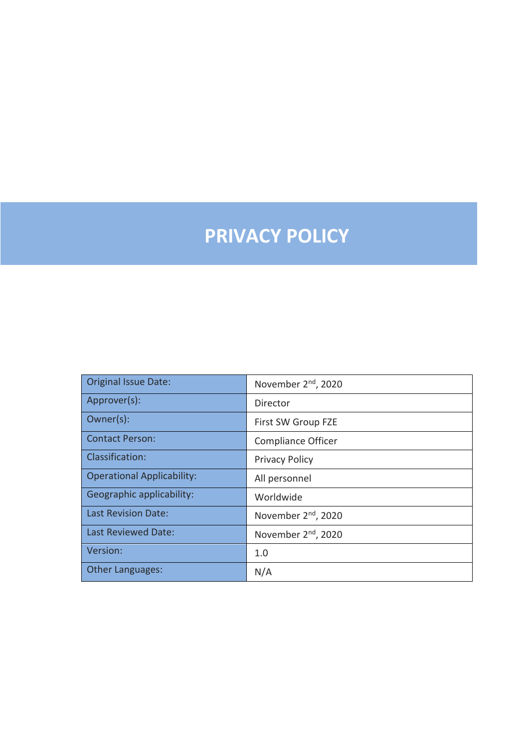# **PRIVACY POLICY**

| <b>Original Issue Date:</b>       | November 2 <sup>nd</sup> , 2020 |
|-----------------------------------|---------------------------------|
| Approver(s):                      | Director                        |
| Owner(s):                         | First SW Group FZE              |
| <b>Contact Person:</b>            | <b>Compliance Officer</b>       |
| Classification:                   | <b>Privacy Policy</b>           |
| <b>Operational Applicability:</b> | All personnel                   |
| Geographic applicability:         | Worldwide                       |
| Last Revision Date:               | November 2 <sup>nd</sup> , 2020 |
| Last Reviewed Date:               | November 2 <sup>nd</sup> , 2020 |
| Version:                          | 1.0                             |
| <b>Other Languages:</b>           | N/A                             |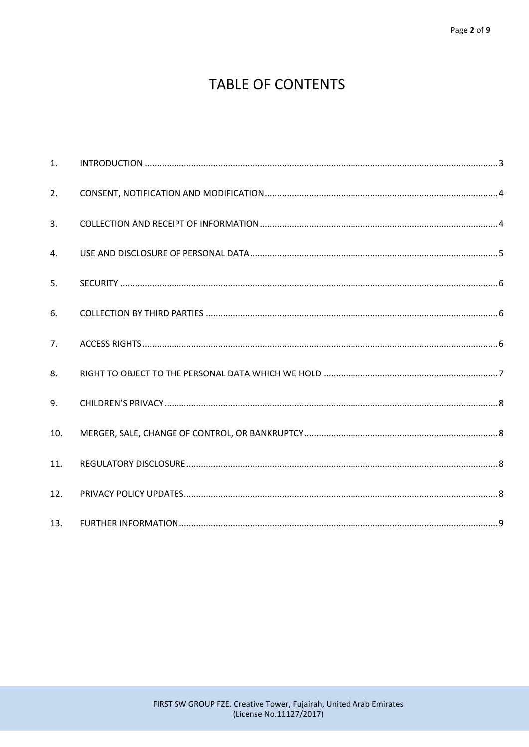# **TABLE OF CONTENTS**

| 1.  |  |
|-----|--|
| 2.  |  |
| 3.  |  |
| 4.  |  |
| 5.  |  |
| 6.  |  |
| 7.  |  |
| 8.  |  |
| 9.  |  |
| 10. |  |
| 11. |  |
| 12. |  |
| 13. |  |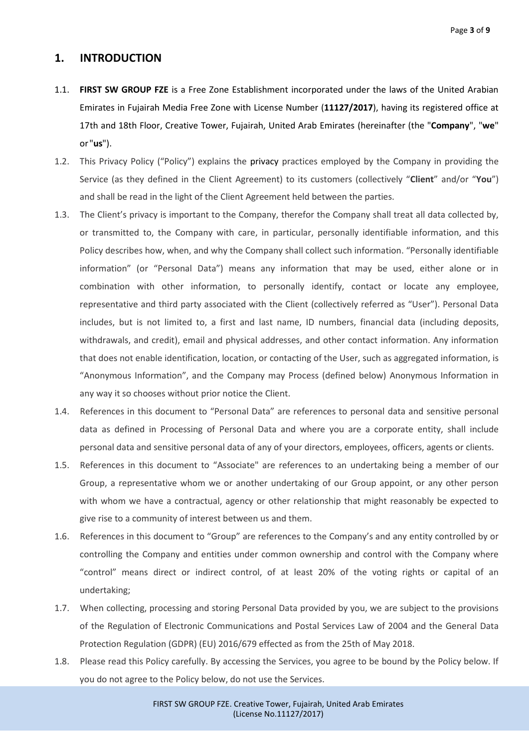#### <span id="page-2-0"></span>**1. INTRODUCTION**

- 1.1. **FIRST SW GROUP FZE** is a Free Zone Establishment incorporated under the laws of the United Arabian Emirates in Fujairah Media Free Zone with License Number (**11127/2017**), having its registered office at 17th and 18th Floor, Creative Tower, Fujairah, United Arab Emirates (hereinafter (the "**Company**", "**we**" or "**us**").
- 1.2. This Privacy Policy ("Policy") explains the privacy practices employed by the Company in providing the Service (as they defined in the Client Agreement) to its customers (collectively "**Client**" and/or "**You**") and shall be read in the light of the Client Agreement held between the parties.
- 1.3. The Client's privacy is important to the Company, therefor the Company shall treat all data collected by, or transmitted to, the Company with care, in particular, personally identifiable information, and this Policy describes how, when, and why the Company shall collect such information. "Personally identifiable information" (or "Personal Data") means any information that may be used, either alone or in combination with other information, to personally identify, contact or locate any employee, representative and third party associated with the Client (collectively referred as "User"). Personal Data includes, but is not limited to, a first and last name, ID numbers, financial data (including deposits, withdrawals, and credit), email and physical addresses, and other contact information. Any information that does not enable identification, location, or contacting of the User, such as aggregated information, is "Anonymous Information", and the Company may Process (defined below) Anonymous Information in any way it so chooses without prior notice the Client.
- 1.4. References in this document to "Personal Data" are references to personal data and sensitive personal data as defined in Processing of Personal Data and where you are a corporate entity, shall include personal data and sensitive personal data of any of your directors, employees, officers, agents or clients.
- 1.5. References in this document to "Associate" are references to an undertaking being a member of our Group, a representative whom we or another undertaking of our Group appoint, or any other person with whom we have a contractual, agency or other relationship that might reasonably be expected to give rise to a community of interest between us and them.
- 1.6. References in this document to "Group" are references to the Company's and any entity controlled by or controlling the Company and entities under common ownership and control with the Company where "control" means direct or indirect control, of at least 20% of the voting rights or capital of an undertaking;
- 1.7. When collecting, processing and storing Personal Data provided by you, we are subject to the provisions of the Regulation of Electronic Communications and Postal Services Law of 2004 and the General Data Protection Regulation (GDPR) (EU) 2016/679 effected as from the 25th of May 2018.
- 1.8. Please read this Policy carefully. By accessing the Services, you agree to be bound by the Policy below. If you do not agree to the Policy below, do not use the Services.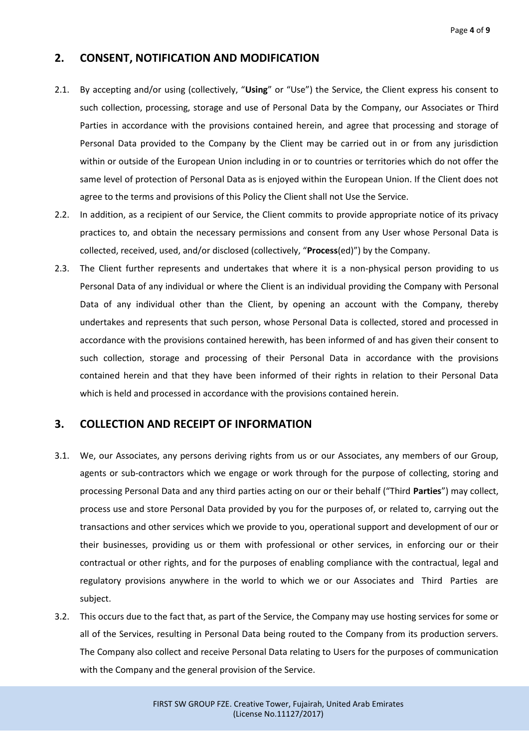#### <span id="page-3-0"></span>**2. CONSENT, NOTIFICATION AND MODIFICATION**

- 2.1. By accepting and/or using (collectively, "**Using**" or "Use") the Service, the Client express his consent to such collection, processing, storage and use of Personal Data by the Company, our Associates or Third Parties in accordance with the provisions contained herein, and agree that processing and storage of Personal Data provided to the Company by the Client may be carried out in or from any jurisdiction within or outside of the European Union including in or to countries or territories which do not offer the same level of protection of Personal Data as is enjoyed within the European Union. If the Client does not agree to the terms and provisions of this Policy the Client shall not Use the Service.
- 2.2. In addition, as a recipient of our Service, the Client commits to provide appropriate notice of its privacy practices to, and obtain the necessary permissions and consent from any User whose Personal Data is collected, received, used, and/or disclosed (collectively, "**Process**(ed)") by the Company.
- 2.3. The Client further represents and undertakes that where it is a non-physical person providing to us Personal Data of any individual or where the Client is an individual providing the Company with Personal Data of any individual other than the Client, by opening an account with the Company, thereby undertakes and represents that such person, whose Personal Data is collected, stored and processed in accordance with the provisions contained herewith, has been informed of and has given their consent to such collection, storage and processing of their Personal Data in accordance with the provisions contained herein and that they have been informed of their rights in relation to their Personal Data which is held and processed in accordance with the provisions contained herein.

### <span id="page-3-1"></span>**3. COLLECTION AND RECEIPT OF INFORMATION**

- 3.1. We, our Associates, any persons deriving rights from us or our Associates, any members of our Group, agents or sub-contractors which we engage or work through for the purpose of collecting, storing and processing Personal Data and any third parties acting on our or their behalf ("Third **Parties**") may collect, process use and store Personal Data provided by you for the purposes of, or related to, carrying out the transactions and other services which we provide to you, operational support and development of our or their businesses, providing us or them with professional or other services, in enforcing our or their contractual or other rights, and for the purposes of enabling compliance with the contractual, legal and regulatory provisions anywhere in the world to which we or our Associates and Third Parties are subject.
- 3.2. This occurs due to the fact that, as part of the Service, the Company may use hosting services for some or all of the Services, resulting in Personal Data being routed to the Company from its production servers. The Company also collect and receive Personal Data relating to Users for the purposes of communication with the Company and the general provision of the Service.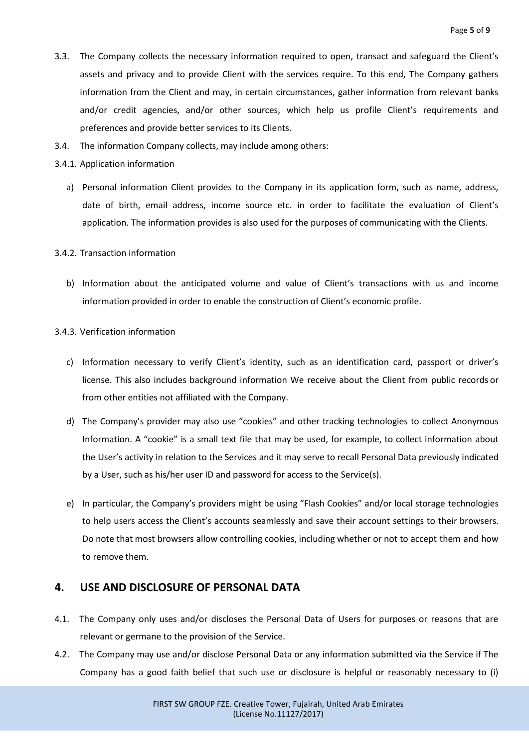- 3.3. The Company collects the necessary information required to open, transact and safeguard the Client's assets and privacy and to provide Client with the services require. To this end, The Company gathers information from the Client and may, in certain circumstances, gather information from relevant banks and/or credit agencies, and/or other sources, which help us profile Client's requirements and preferences and provide better services to its Clients.
- 3.4. The information Company collects, may include among others:
- 3.4.1. Application information
	- a) Personal information Client provides to the Company in its application form, such as name, address, date of birth, email address, income source etc. in order to facilitate the evaluation of Client's application. The information provides is also used for the purposes of communicating with the Clients.

#### 3.4.2. Transaction information

b) Information about the anticipated volume and value of Client's transactions with us and income information provided in order to enable the construction of Client's economic profile.

#### 3.4.3. Verification information

- c) Information necessary to verify Client's identity, such as an identification card, passport or driver's license. This also includes background information We receive about the Client from public records or from other entities not affiliated with the Company.
- d) The Company's provider may also use "cookies" and other tracking technologies to collect Anonymous Information. A "cookie" is a small text file that may be used, for example, to collect information about the User's activity in relation to the Services and it may serve to recall Personal Data previously indicated by a User, such as his/her user ID and password for access to the Service(s).
- e) In particular, the Company's providers might be using "Flash Cookies" and/or local storage technologies to help users access the Client's accounts seamlessly and save their account settings to their browsers. Do note that most browsers allow controlling cookies, including whether or not to accept them and how to remove them.

#### <span id="page-4-0"></span>**4. USE AND DISCLOSURE OF PERSONAL DATA**

- 4.1. The Company only uses and/or discloses the Personal Data of Users for purposes or reasons that are relevant or germane to the provision of the Service.
- 4.2. The Company may use and/or disclose Personal Data or any information submitted via the Service if The Company has a good faith belief that such use or disclosure is helpful or reasonably necessary to (i)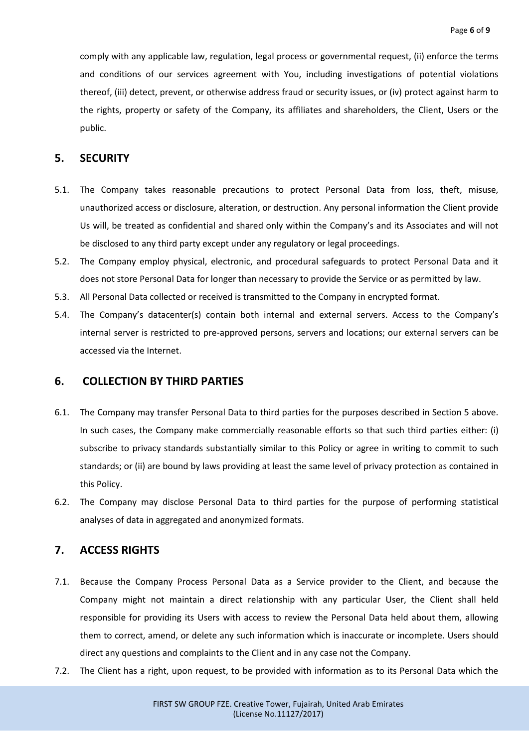comply with any applicable law, regulation, legal process or governmental request, (ii) enforce the terms and conditions of our services agreement with You, including investigations of potential violations thereof, (iii) detect, prevent, or otherwise address fraud or security issues, or (iv) protect against harm to the rights, property or safety of the Company, its affiliates and shareholders, the Client, Users or the public.

#### <span id="page-5-0"></span>**5. SECURITY**

- 5.1. The Company takes reasonable precautions to protect Personal Data from loss, theft, misuse, unauthorized access or disclosure, alteration, or destruction. Any personal information the Client provide Us will, be treated as confidential and shared only within the Company's and its Associates and will not be disclosed to any third party except under any regulatory or legal proceedings.
- 5.2. The Company employ physical, electronic, and procedural safeguards to protect Personal Data and it does not store Personal Data for longer than necessary to provide the Service or as permitted by law.
- 5.3. All Personal Data collected or received is transmitted to the Company in encrypted format.
- 5.4. The Company's datacenter(s) contain both internal and external servers. Access to the Company's internal server is restricted to pre-approved persons, servers and locations; our external servers can be accessed via the Internet.

#### <span id="page-5-1"></span>**6. COLLECTION BY THIRD PARTIES**

- 6.1. The Company may transfer Personal Data to third parties for the purposes described in Section 5 above. In such cases, the Company make commercially reasonable efforts so that such third parties either: (i) subscribe to privacy standards substantially similar to this Policy or agree in writing to commit to such standards; or (ii) are bound by laws providing at least the same level of privacy protection as contained in this Policy.
- 6.2. The Company may disclose Personal Data to third parties for the purpose of performing statistical analyses of data in aggregated and anonymized formats.

### <span id="page-5-2"></span>**7. ACCESS RIGHTS**

- 7.1. Because the Company Process Personal Data as a Service provider to the Client, and because the Company might not maintain a direct relationship with any particular User, the Client shall held responsible for providing its Users with access to review the Personal Data held about them, allowing them to correct, amend, or delete any such information which is inaccurate or incomplete. Users should direct any questions and complaints to the Client and in any case not the Company.
- 7.2. The Client has a right, upon request, to be provided with information as to its Personal Data which the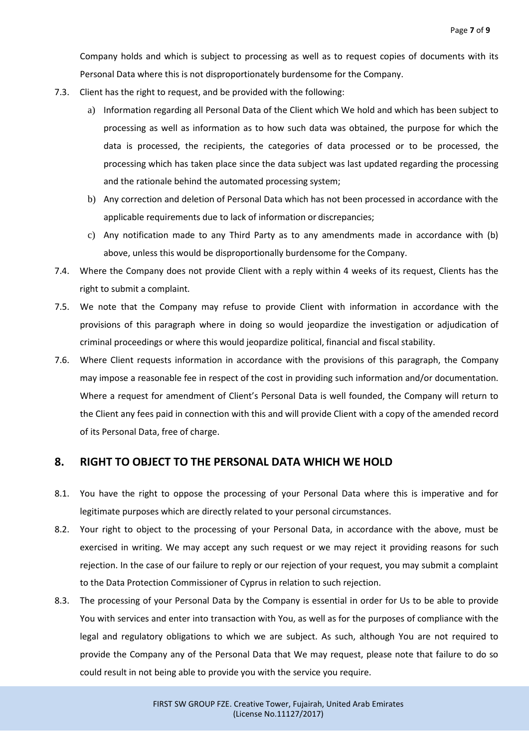Company holds and which is subject to processing as well as to request copies of documents with its Personal Data where this is not disproportionately burdensome for the Company.

- 7.3. Client has the right to request, and be provided with the following:
	- a) Information regarding all Personal Data of the Client which We hold and which has been subject to processing as well as information as to how such data was obtained, the purpose for which the data is processed, the recipients, the categories of data processed or to be processed, the processing which has taken place since the data subject was last updated regarding the processing and the rationale behind the automated processing system;
	- b) Any correction and deletion of Personal Data which has not been processed in accordance with the applicable requirements due to lack of information or discrepancies;
	- c) Any notification made to any Third Party as to any amendments made in accordance with (b) above, unless this would be disproportionally burdensome for the Company.
- 7.4. Where the Company does not provide Client with a reply within 4 weeks of its request, Clients has the right to submit a complaint.
- 7.5. We note that the Company may refuse to provide Client with information in accordance with the provisions of this paragraph where in doing so would jeopardize the investigation or adjudication of criminal proceedings or where this would jeopardize political, financial and fiscal stability.
- 7.6. Where Client requests information in accordance with the provisions of this paragraph, the Company may impose a reasonable fee in respect of the cost in providing such information and/or documentation. Where a request for amendment of Client's Personal Data is well founded, the Company will return to the Client any fees paid in connection with this and will provide Client with a copy of the amended record of its Personal Data, free of charge.

#### <span id="page-6-0"></span>**8. RIGHT TO OBJECT TO THE PERSONAL DATA WHICH WE HOLD**

- 8.1. You have the right to oppose the processing of your Personal Data where this is imperative and for legitimate purposes which are directly related to your personal circumstances.
- 8.2. Your right to object to the processing of your Personal Data, in accordance with the above, must be exercised in writing. We may accept any such request or we may reject it providing reasons for such rejection. In the case of our failure to reply or our rejection of your request, you may submit a complaint to the Data Protection Commissioner of Cyprus in relation to such rejection.
- 8.3. The processing of your Personal Data by the Company is essential in order for Us to be able to provide You with services and enter into transaction with You, as well as for the purposes of compliance with the legal and regulatory obligations to which we are subject. As such, although You are not required to provide the Company any of the Personal Data that We may request, please note that failure to do so could result in not being able to provide you with the service you require.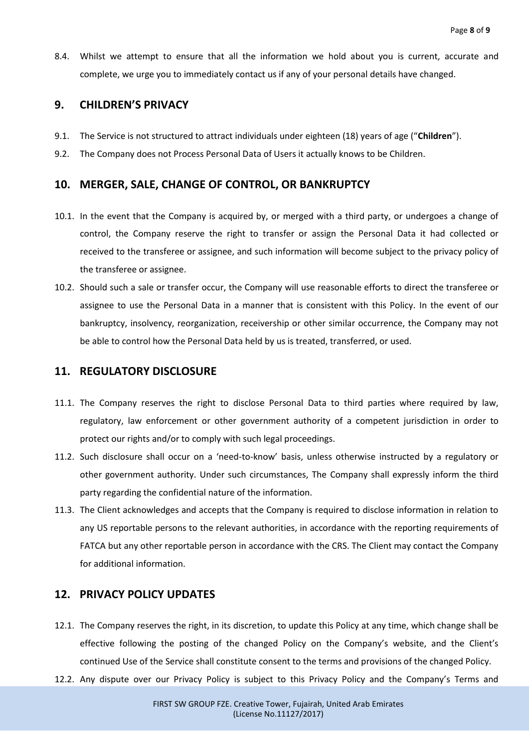8.4. Whilst we attempt to ensure that all the information we hold about you is current, accurate and complete, we urge you to immediately contact us if any of your personal details have changed.

#### <span id="page-7-0"></span>**9. CHILDREN'S PRIVACY**

- 9.1. The Service is not structured to attract individuals under eighteen (18) years of age ("**Children**").
- 9.2. The Company does not Process Personal Data of Users it actually knows to be Children.

#### <span id="page-7-1"></span>**10. MERGER, SALE, CHANGE OF CONTROL, OR BANKRUPTCY**

- 10.1. In the event that the Company is acquired by, or merged with a third party, or undergoes a change of control, the Company reserve the right to transfer or assign the Personal Data it had collected or received to the transferee or assignee, and such information will become subject to the privacy policy of the transferee or assignee.
- 10.2. Should such a sale or transfer occur, the Company will use reasonable efforts to direct the transferee or assignee to use the Personal Data in a manner that is consistent with this Policy. In the event of our bankruptcy, insolvency, reorganization, receivership or other similar occurrence, the Company may not be able to control how the Personal Data held by us is treated, transferred, or used.

#### <span id="page-7-2"></span>**11. REGULATORY DISCLOSURE**

- 11.1. The Company reserves the right to disclose Personal Data to third parties where required by law, regulatory, law enforcement or other government authority of a competent jurisdiction in order to protect our rights and/or to comply with such legal proceedings.
- 11.2. Such disclosure shall occur on a 'need-to-know' basis, unless otherwise instructed by a regulatory or other government authority. Under such circumstances, The Company shall expressly inform the third party regarding the confidential nature of the information.
- 11.3. The Client acknowledges and accepts that the Company is required to disclose information in relation to any US reportable persons to the relevant authorities, in accordance with the reporting requirements of FATCA but any other reportable person in accordance with the CRS. The Client may contact the Company for additional information.

#### <span id="page-7-3"></span>**12. PRIVACY POLICY UPDATES**

- 12.1. The Company reserves the right, in its discretion, to update this Policy at any time, which change shall be effective following the posting of the changed Policy on the Company's website, and the Client's continued Use of the Service shall constitute consent to the terms and provisions of the changed Policy.
- 12.2. Any dispute over our Privacy Policy is subject to this Privacy Policy and the Company's Terms and